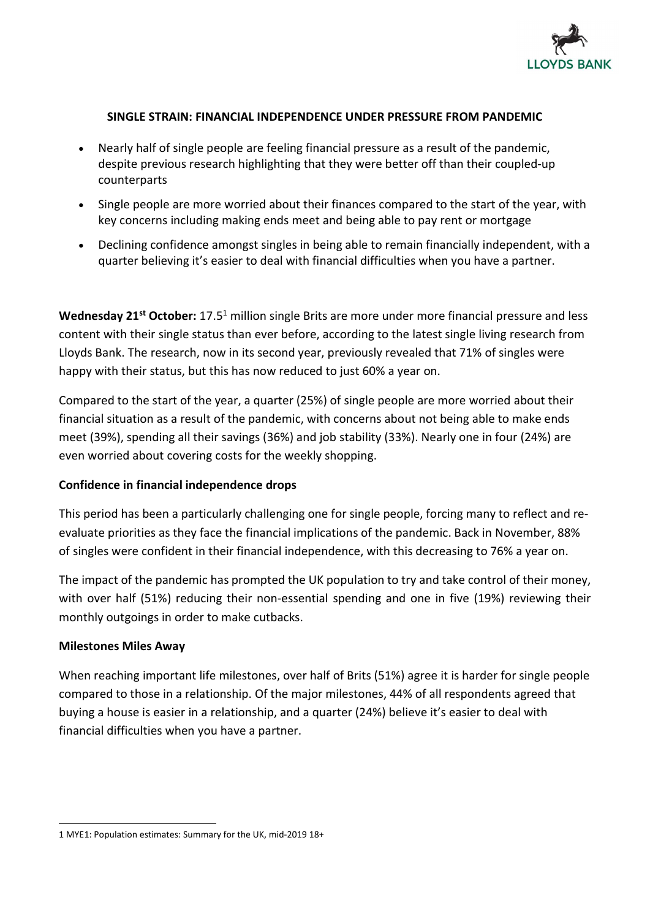

## SINGLE STRAIN: FINANCIAL INDEPENDENCE UNDER PRESSURE FROM PANDEMIC

- Nearly half of single people are feeling financial pressure as a result of the pandemic, despite previous research highlighting that they were better off than their coupled-up counterparts
- Single people are more worried about their finances compared to the start of the year, with key concerns including making ends meet and being able to pay rent or mortgage
- Declining confidence amongst singles in being able to remain financially independent, with a quarter believing it's easier to deal with financial difficulties when you have a partner.

Wednesday 21<sup>st</sup> October: 17.5<sup>1</sup> million single Brits are more under more financial pressure and less content with their single status than ever before, according to the latest single living research from Lloyds Bank. The research, now in its second year, previously revealed that 71% of singles were happy with their status, but this has now reduced to just 60% a year on.

Compared to the start of the year, a quarter (25%) of single people are more worried about their financial situation as a result of the pandemic, with concerns about not being able to make ends meet (39%), spending all their savings (36%) and job stability (33%). Nearly one in four (24%) are even worried about covering costs for the weekly shopping.

## Confidence in financial independence drops

This period has been a particularly challenging one for single people, forcing many to reflect and reevaluate priorities as they face the financial implications of the pandemic. Back in November, 88% of singles were confident in their financial independence, with this decreasing to 76% a year on.

The impact of the pandemic has prompted the UK population to try and take control of their money, with over half (51%) reducing their non-essential spending and one in five (19%) reviewing their monthly outgoings in order to make cutbacks.

## Milestones Miles Away

When reaching important life milestones, over half of Brits (51%) agree it is harder for single people compared to those in a relationship. Of the major milestones, 44% of all respondents agreed that buying a house is easier in a relationship, and a quarter (24%) believe it's easier to deal with financial difficulties when you have a partner.

<sup>1</sup> MYE1: Population estimates: Summary for the UK, mid-2019 18+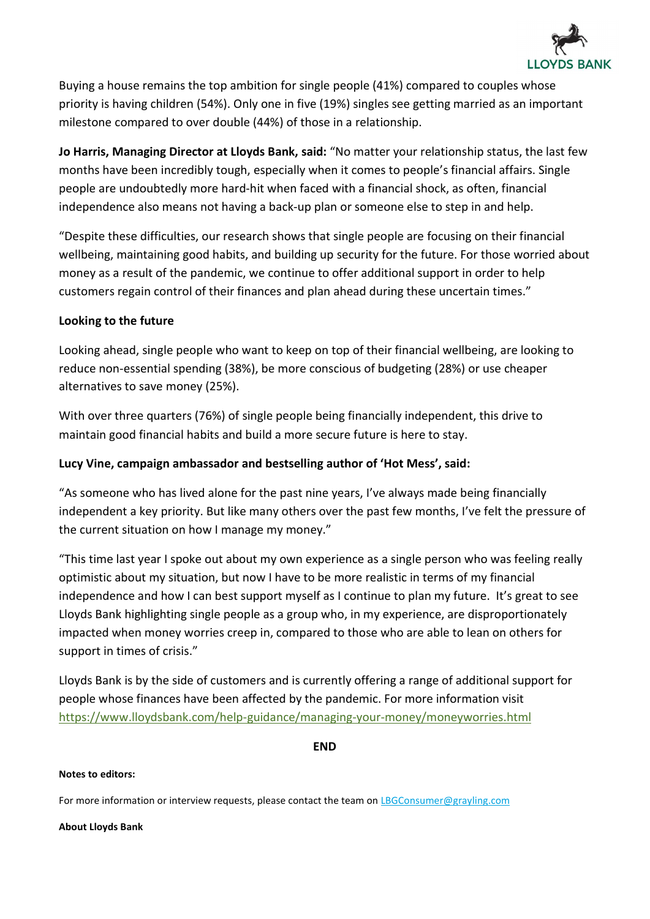

Buying a house remains the top ambition for single people (41%) compared to couples whose priority is having children (54%). Only one in five (19%) singles see getting married as an important milestone compared to over double (44%) of those in a relationship.

Jo Harris, Managing Director at Lloyds Bank, said: "No matter your relationship status, the last few months have been incredibly tough, especially when it comes to people's financial affairs. Single people are undoubtedly more hard-hit when faced with a financial shock, as often, financial independence also means not having a back-up plan or someone else to step in and help.

"Despite these difficulties, our research shows that single people are focusing on their financial wellbeing, maintaining good habits, and building up security for the future. For those worried about money as a result of the pandemic, we continue to offer additional support in order to help customers regain control of their finances and plan ahead during these uncertain times."

## Looking to the future

Looking ahead, single people who want to keep on top of their financial wellbeing, are looking to reduce non-essential spending (38%), be more conscious of budgeting (28%) or use cheaper alternatives to save money (25%).

With over three quarters (76%) of single people being financially independent, this drive to maintain good financial habits and build a more secure future is here to stay.

# Lucy Vine, campaign ambassador and bestselling author of 'Hot Mess', said:

"As someone who has lived alone for the past nine years, I've always made being financially independent a key priority. But like many others over the past few months, I've felt the pressure of the current situation on how I manage my money."

"This time last year I spoke out about my own experience as a single person who was feeling really optimistic about my situation, but now I have to be more realistic in terms of my financial independence and how I can best support myself as I continue to plan my future. It's great to see Lloyds Bank highlighting single people as a group who, in my experience, are disproportionately impacted when money worries creep in, compared to those who are able to lean on others for support in times of crisis."

Lloyds Bank is by the side of customers and is currently offering a range of additional support for people whose finances have been affected by the pandemic. For more information visit https://www.lloydsbank.com/help-guidance/managing-your-money/moneyworries.html

END

### Notes to editors:

For more information or interview requests, please contact the team on LBGConsumer@grayling.com

#### About Lloyds Bank